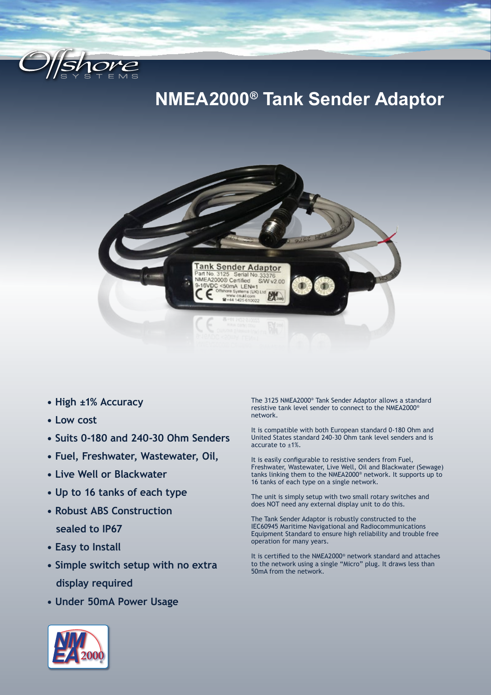

## **NMEA2000® Tank Sender Adaptor**



- **High ±1% Accuracy**
- **Low cost**
- **Suits 0-180 and 240-30 Ohm Senders**
- **Fuel, Freshwater, Wastewater, Oil,**
- **Live Well or Blackwater**
- **Up to 16 tanks of each type**
- **Robust ABS Construction sealed to IP67**
- **Easy to Install**
- **Simple switch setup with no extra display required**
- **Under 50mA Power Usage**

The 3125 NMEA2000® Tank Sender Adaptor allows a standard resistive tank level sender to connect to the NMEA2000® network.

It is compatible with both European standard 0-180 Ohm and United States standard 240-30 Ohm tank level senders and is accurate to ±1%.

It is easily configurable to resistive senders from Fuel, Freshwater, Wastewater, Live Well, Oil and Blackwater (Sewage) tanks linking them to the NMEA2000® network. It supports up to 16 tanks of each type on a single network.

The unit is simply setup with two small rotary switches and does NOT need any external display unit to do this.

The Tank Sender Adaptor is robustly constructed to the IEC60945 Maritime Navigational and Radiocommunications Equipment Standard to ensure high reliability and trouble free operation for many years.

It is certified to the NMEA2000® network standard and attaches to the network using a single "Micro" plug. It draws less than 50mA from the network.